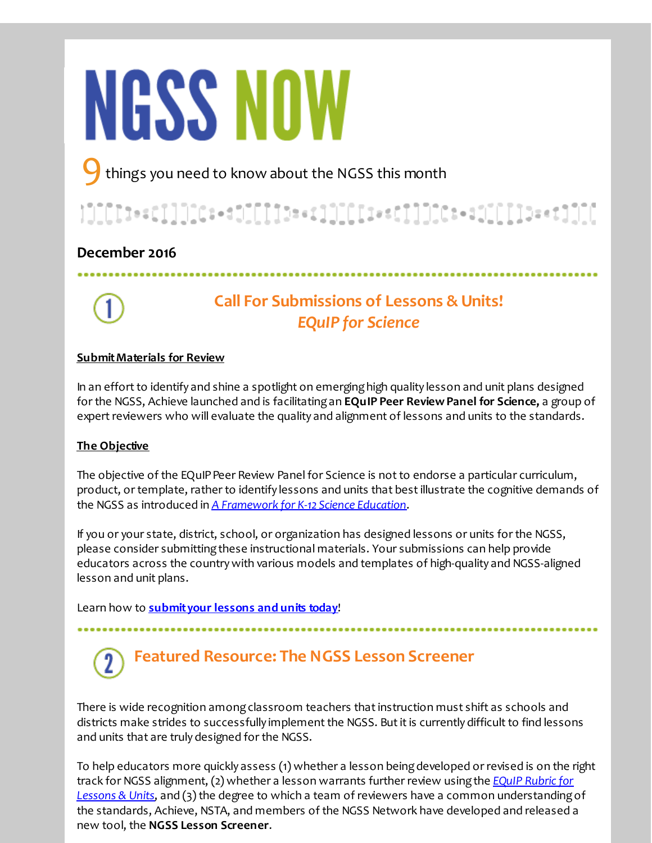# **NGSS NOW**

things you need to know about the NGSS this month

# 

### **December 2016**



# **Call For Submissions of Lessons & Units!** *EQuIP for Science*

### **SubmitMaterials for Review**

In an effort to identify and shine a spotlight on emerging high quality lesson and unit plans designed for the NGSS, Achieve launched and is facilitatingan **EQuIP Peer ReviewPanel for Science,** a group of expert reviewers who will evaluate the quality and alignment of lessons and units to the standards.

### **The Objective**

The objective of the EQuIP Peer Review Panel for Science is not to endorse a particular curriculum, product, or template, rather to identify lessons and units that bestillustrate the cognitive demands of the NGSS as introduced in *A [Framework](http://r20.rs6.net/tn.jsp?f=001Ui_2PRnQhFLCzylpMhB6r4JIijmAb2MyofQZUYiSsmcbrw-Ik-i_K0cJWhs-qGewnht1I_b0SSyLmfQzjlgzXZcuO-v-Hq7N0rD-TI9w8fxOokh0xEZ2GU38o8O2GkBn7-7OgMMkdDN-K9QcQvwMb5YinIcrBcUO-8UrC4rfOLwLCgTBw2CKlXyfVyd48_KP-LXLuf6Sf7vHMy9d6p7aEyOiw-z300I5QDQC4hgV8-9CQvywZN4sGeESDKnrfo-e&c=&ch=) for K-12 Science Education*.

If you or your state, district, school, or organization has designed lessons or units for the NGSS, please consider submittingthese instructional materials. Your submissions can help provide educators across the countrywith various models and templates of high-quality and NGSS-aligned lesson and unit plans.

Learn how to **[submityour](http://r20.rs6.net/tn.jsp?f=001Ui_2PRnQhFLCzylpMhB6r4JIijmAb2MyofQZUYiSsmcbrw-Ik-i_Kz4YS_xzhLi-c9BNut1mmsR4wvIrg80tB-PwBrI0ybsZCYodGYpJNsZ6jSfnVnMt_33T3zupHEG_FD5-qBgDUWr1NaCQ4My-XH1gjzzIRUwUArcLCj1raq7BM3bIeYWMDq_hi1z03QFLerCTzBu9Ov4jTdAUF3Vgvmemf5L9ltHl0Gxv8BudrkU=&c=&ch=) lessons and units today**!

# **Featured Resource: The NGSS Lesson Screener**

There is wide recognition among classroom teachers that instruction must shift as schools and districts make strides to successfully implement the NGSS. But it is currently difficult to find lessons and units that are truly designed for the NGSS.

To help educators more quickly assess (1) whether a lesson beingdeveloped or revised is on the right track for NGSS alignment, (2) whether a lesson warrants further review usingthe *EQuIP Rubric for Lessons & Units*, and (3) the degree to which a team of reviewers have a common [understanding](http://r20.rs6.net/tn.jsp?f=001Ui_2PRnQhFLCzylpMhB6r4JIijmAb2MyofQZUYiSsmcbrw-Ik-i_K7MZr7lf7s1eNKjaOfddYphMzZF4tpxCVlJPt4DJOpybkkN8s_f3o83ztLFuEhzRtwdHygB5BiK5Ilu4t_DcZIIPAFnY4MVbwEIlY9h9D8knTH9xrws5Kv6v9nLPcN3Od9SkLlRoIh31DBz865ahuHfcKjN3rnwwQkNAnevaCakywxs8eWEeugM6SnTFi4ISUw==&c=&ch=)of the standards, Achieve, NSTA, and members of the NGSS Network have developed and released a new tool, the **NGSS Lesson Screener**.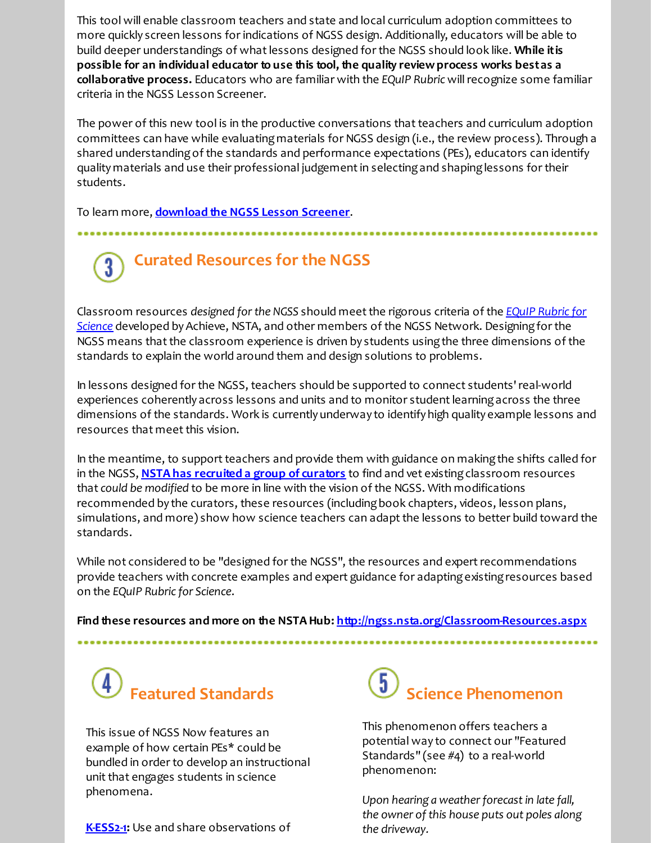This tool will enable classroom teachers and state and local curriculum adoption committees to more quickly screen lessons for indications of NGSS design. Additionally, educators will be able to build deeper understandings of whatlessons designed for the NGSS should look like. **While itis possible for an individual educator to use this tool, the quality reviewprocess works bestas a collaborative process.** Educators who are familiar with the *EQuIP Rubric* willrecognize some familiar criteria in the NGSS Lesson Screener.

The power of this new tool is in the productive conversations that teachers and curriculum adoption committees can have while evaluatingmaterials for NGSS design (i.e., the review process). Through a shared understandingof the standards and performance expectations (PEs), educators can identify quality materials and use their professional judgementin selectingand shapinglessons for their students.

.................

To learn more, **[download](http://r20.rs6.net/tn.jsp?f=001Ui_2PRnQhFLCzylpMhB6r4JIijmAb2MyofQZUYiSsmcbrw-Ik-i_Kz4YS_xzhLi-awwramdG1gOhiPZVLRspU_zrAz1zBEQdgQPMnrQjDD8o9MqCOipfseQmbuEXsvAw9jonp-vqRBbK8-Qk_blNBbQuhFkdTGqzDpwDszqOBdAPVAexQ1nINer3CC4Ib6NWaf1tvOWSgM-nRAUNev9haD6DtDTXY1VR9cjPR-r4oDQwZUiM-KheX1vren8mcC46bFpMAsdDUz3njb1W77ShF2IGlwtlcGiz&c=&ch=) the NGSS Lesson Screener**.

### **Curated Resources forthe NGSS**  $3^{\circ}$

Classroom resources *designed forthe NGSS* should meetthe rigorous criteria of the *EQuIP Rubric for* **Science** developed by Achieve, NSTA, and other members of the NGSS Network. Designing for the NGSS means that the classroom experience is driven by students using the three dimensions of the standards to explain the world around them and design solutions to problems.

In lessons designed for the NGSS, teachers should be supported to connect students'real-world experiences coherently across lessons and units and to monitor student learning across the three dimensions of the standards. Work is currently underway to identify high quality example lessons and resources that meet this vision.

In the meantime, to support teachers and provide them with guidance on making the shifts called for in the NGSS, **NSTA has [recruited](http://r20.rs6.net/tn.jsp?f=001Ui_2PRnQhFLCzylpMhB6r4JIijmAb2MyofQZUYiSsmcbrw-Ik-i_Kz4YS_xzhLi-xDXVH6nPn2DQtJ5dIGJSlN8LGU2egr_f6ugWU8--a_hSrUxCNY3pv3PpMElq2YnxbYQjuI5s8G7veA9a_qvacUEGLrJcHW_hcYpUZ3Jwx83c7-mhvKNAc58VTXDn7y0G&c=&ch=) a group of curators** to find and vet existingclassroom resources that *could be modified* to be more in line with the vision of the NGSS. With modifications recommended by the curators, these resources (includingbook chapters, videos, lesson plans, simulations, and more) show how science teachers can adaptthe lessons to better build toward the standards.

While not considered to be "designed for the NGSS", the resources and expert recommendations provide teachers with concrete examples and expert guidance for adaptingexistingresources based on the *EQuIP Rubric for Science*.

**Find these resources and more on the NSTA Hub: [http://ngss.nsta.org/Classroom-Resources.aspx](http://r20.rs6.net/tn.jsp?f=001Ui_2PRnQhFLCzylpMhB6r4JIijmAb2MyofQZUYiSsmcbrw-Ik-i_Kz4YS_xzhLi-3NVo_T6hzTA46frbd72vN7o8uaJbneMnmzOlYDr-6a5hvk8uEqyqNNjkz4RYpNofiE024MzaRNk1FJrkBpMHSqtUjwCmabAPmgH6R4fb_J_v_ck4JKwmM-gS1ZEa7x0PQtYAoQwU9rc=&c=&ch=)**

# **Featured Standards**

This issue of NGSS Now features an example of how certain PEs\* could be bundled in order to develop an instructional unit that engages students in science phenomena.

**[K-ESS2-1](http://r20.rs6.net/tn.jsp?f=001Ui_2PRnQhFLCzylpMhB6r4JIijmAb2MyofQZUYiSsmcbrw-Ik-i_Kz4YS_xzhLi-gDdnZ3zGemTO6CS5L2ldNJPWILbCE14J7-VrH2zhV1-S5GoM3_bmMudHOiaRCFzGkvvX2kWVZ_eW2VBvMOZvPjNOYvI3SlQIKsPGtbbYyN0M5IYgOkCK0HEcSKfgWtNGMroFm4MefTmpk-oGjhvKOrxJ-7wb-r4DcHTKKO5HVUqUgVqUtm5jd8nR__FXz9CtRFCLdz6BAowra0zOcKZfirk3_r8O0KCOjgDwD4te02ynETlA7AxXxz1Hahr8MxyoF9RhMY2u-N0=&c=&ch=):** Use and share observations of



This phenomenon offers teachers a potential way to connect our "Featured Standards" (see #4) to a real-world phenomenon:

*<u>Upon hearing</u> a* weather forecast in late fall, *the owner of this house puts out poles along the driveway.*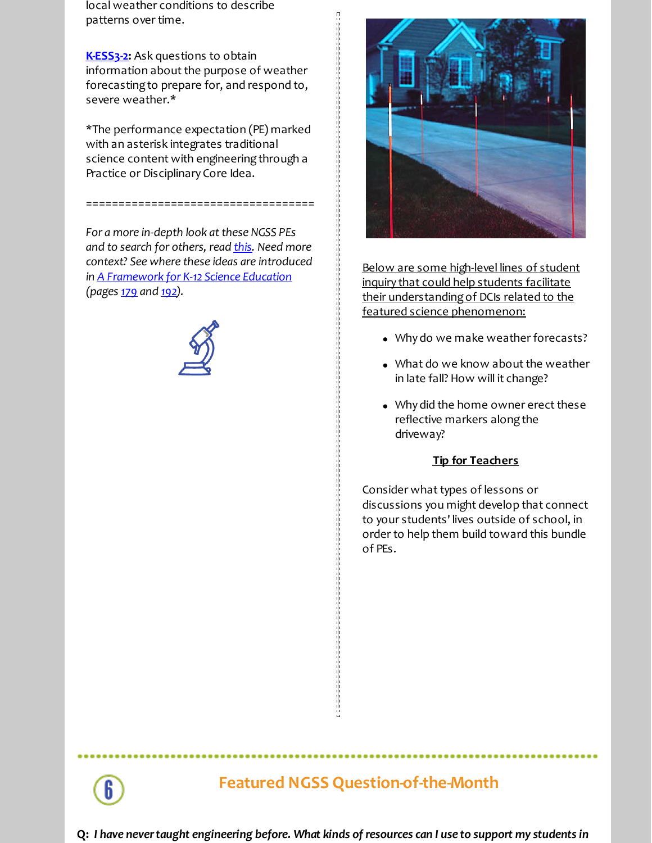local weather conditions to describe patterns over time.

**[K-ESS3-2](http://r20.rs6.net/tn.jsp?f=001Ui_2PRnQhFLCzylpMhB6r4JIijmAb2MyofQZUYiSsmcbrw-Ik-i_Kz4YS_xzhLi-5G4mo-ky4z7VmWaBKI6AwNTiVens3tqXwyaFsXF99NJm3AMdADR_uXhdjutEqJ17okiZydOIHBxs8_lPp1R_1y9gR5shdTdQAAJDilnhpRMGaylyo2Ju0FQ6RJi6xmvwj5Erb2zg0yjnncBGPYin6tUmRJm9-O47zEntoAElcGO5oHtIrphlz8dBkDkNXWVQnvXErV8vswMZyUWwE2P_XNrHOMKxXcFKNrkRXnDmUTA3VeC1D7vQKLgbDIT2hPj4IpoqDANxzU8=&c=&ch=):** Ask questions to obtain information about the purpose of weather forecastingto prepare for, and respond to, severe weather.\*

\*The performance expectation (PE) marked with an asterisk integrates traditional science content with engineering through a Practice or Disciplinary Core Idea.

===================================

*For a more in-depth look atthese NGSS PEs and to search for others, read [this](http://r20.rs6.net/tn.jsp?f=001Ui_2PRnQhFLCzylpMhB6r4JIijmAb2MyofQZUYiSsmcbrw-Ik-i_K0cJWhs-qGewLWZt_6u0SJ5brwrFeAk-fnV4hhhIudUL8NnfCYYWIBSomcKQOLryUFQchiMvzY5xIIO7cn6Tyu0KTfNm0lUihYeaeReMj7sXbBDMTVWKnceu90n3eKJcN9RonruxWIEUXvXTAQM0E8Y=&c=&ch=). Need more context? See where these ideas are introduced in A [Framework](http://r20.rs6.net/tn.jsp?f=001Ui_2PRnQhFLCzylpMhB6r4JIijmAb2MyofQZUYiSsmcbrw-Ik-i_KyHm438BbvLd_yLb3U9GgRN59cUNSNqR77HgvwBVS5uP-FX1dFufxs54prnUS1VsMkYlvKx0SH6aETcRshTGGOPTc8EZ4PD5DnKQ8dySmz6gDGpKmMjh54ZzUzFtFUDSpEve0pJBfmBLYsD-eD-marcCTuHGles8og==&c=&ch=) for K-12 Science Education (pages [179](http://r20.rs6.net/tn.jsp?f=001Ui_2PRnQhFLCzylpMhB6r4JIijmAb2MyofQZUYiSsmcbrw-Ik-i_Kz4YS_xzhLi-apEKe6EkoO4vdVmh2WbQhpg90lPaV7JbUijTRu68QpHb92MJ9Akqq-ZXQd-gwIfN8IlOufN1SLK5eYP42x-A9bLrjOv_yLDtA6DWHyFcbZGLJq1DMqkacsIlVO9M1bVJQg7GXDjvOrYUuD7SnbfVHA==&c=&ch=) and [192](http://r20.rs6.net/tn.jsp?f=001Ui_2PRnQhFLCzylpMhB6r4JIijmAb2MyofQZUYiSsmcbrw-Ik-i_Kz4YS_xzhLi-L8YTYsIYgWZQ7ZqSYIFIGifcz3XFPFSJvOOMASP2aaXBJhnDgMkRmIhGqAdjqAxVlXLGeYKwEYShxYiM3N2BMLREcvPhxt3WZNAu4sxO_SFZiOyyaOZsNRfuh0CkA6kLbutIJmOf0b56GkHidN-anw==&c=&ch=)).*





Below are some high-level lines of student inquiry that could help students facilitate their understandingof DCIs related to the featured science phenomenon:

- Why do we make weather forecasts?
- What do we know about the weather in late fall? How will it change?
- Why did the home owner erect these reflective markers along the driveway?

#### **Tip for Teachers**

Consider what types of lessons or discussions you might develop that connect to your students' lives outside of school, in order to help them build toward this bundle of PEs.

## **Featured NGSS Question-of-the-Month**

Q: I have never taught engineering before. What kinds of resources can I use to support my students in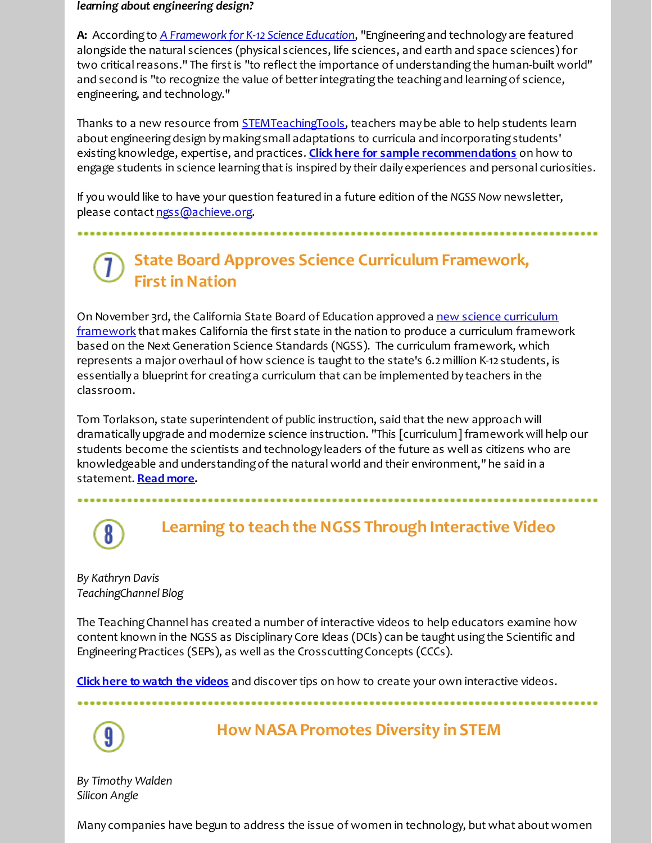#### *learning about engineering design?*

**A:** Accordingto *A [Framework](http://r20.rs6.net/tn.jsp?f=001Ui_2PRnQhFLCzylpMhB6r4JIijmAb2MyofQZUYiSsmcbrw-Ik-i_KyHm438BbvLd_yLb3U9GgRN59cUNSNqR77HgvwBVS5uP-FX1dFufxs54prnUS1VsMkYlvKx0SH6aETcRshTGGOPTc8EZ4PD5DnKQ8dySmz6gDGpKmMjh54ZzUzFtFUDSpEve0pJBfmBLYsD-eD-marcCTuHGles8og==&c=&ch=) for K-12 Science Education*, "Engineeringand technology are featured alongside the natural sciences (physical sciences, life sciences, and earth and space sciences) for two critical reasons." The first is "to reflect the importance of understanding the human-built world" and second is "to recognize the value of better integrating the teaching and learning of science, engineering, and technology."

Thanks to a new resource from **[STEMTeachingTools](http://r20.rs6.net/tn.jsp?f=001Ui_2PRnQhFLCzylpMhB6r4JIijmAb2MyofQZUYiSsmcbrw-Ik-i_Kz4YS_xzhLi-STRW7wCNcsym7uz0lnGREzgVN6_yOXv7DVBOSvak1hQC03SkpOp8QUIlDm-66Gp7kRQ-G_ZplUoEsGI4Zo8M5M61JK56S5v1p4cviEujoSBERlnvZifAZBRHnoQKl1Yk&c=&ch=)**, teachers may be able to help students learn about engineering design by making small adaptations to curricula and incorporating students' existingknowledge, expertise, and practices. **Click here for sample [recommendations](http://r20.rs6.net/tn.jsp?f=001Ui_2PRnQhFLCzylpMhB6r4JIijmAb2MyofQZUYiSsmcbrw-Ik-i_Kz4YS_xzhLi-7ErxdTWyGNTwn4EgfTnJ6GzdwcKLWtpxLbTh7PSyBa5QJenv4xrLUd_-2UWKyEvUHEtrTtEpeuzH3n9lnT1_SzgZo-1sj0SPvmDp-Ik-nvFkiwYb4Sa-YqaCEkNLdqpn&c=&ch=)** on how to engage students in science learning that is inspired by their daily experiences and personal curiosities.

If you would like to have your question featured in a future edition of the *NGSS Now* newsletter, please contact [ngss@achieve.org](mailto:ngss@achieve.org).

# **State Board Approves Science Curriculum Framework, First in Nation**

On November 3rd, the California State Board of Education approved a new science curriculum [framework](http://r20.rs6.net/tn.jsp?f=001Ui_2PRnQhFLCzylpMhB6r4JIijmAb2MyofQZUYiSsmcbrw-Ik-i_Kz4YS_xzhLi-NLnOhmM97Tk5lD2BlE3MAAVQLVnX8Bhis5JTwcOMAOSZ4c_i6RZM1TlOfkaQdHFUxwKdrhpBZP94P5UI7GYN-5cz6LET8pVFw41UHqUMr9hi0VON2FWXYRywlyGj_pj5w9yu7AJgPtICEazbZy_CHg==&c=&ch=) that makes California the first state in the nation to produce a curriculum framework based on the Next Generation Science Standards (NGSS). The curriculum framework, which represents a major overhaul of how science is taught to the state's 6.2 million K-12 students, is essentially a blueprint for creating a curriculum that can be implemented by teachers in the classroom.

Tom Torlakson, state superintendent of public instruction, said that the new approach will dramatically upgrade and modernize science instruction. "This [curriculum] framework will help our students become the scientists and technology leaders of the future as well as citizens who are knowledgeable and understandingof the natural world and their environment," he said in a statement. **[Read](http://r20.rs6.net/tn.jsp?f=001Ui_2PRnQhFLCzylpMhB6r4JIijmAb2MyofQZUYiSsmcbrw-Ik-i_Kz4YS_xzhLi-at4N2JPkMQbfi05Mp7_Mq0-au1G58Fn_hvNCEmnZn3SgnD5CauDhHOi1HBZRSJpQpOEMa8z6xzjInFVN_pWPVyLxaVbNihGT0S5kc4GWqiYDcDxGUghV0OsiXuw9RYgDNFanZ3nrF_FYvT4XOXTiLBzJLbLkT69ITkgfdPVaiiymMKYkmYBirxtQLubV_5MVDHn9PF_g1sI=&c=&ch=) more.**

# **Learning to teach the NGSS Through Interactive Video**

*By Kathryn Davis TeachingChannel Blog*

The Teaching Channel has created a number of interactive videos to help educators examine how content known in the NGSS as Disciplinary Core Ideas (DCIs) can be taught usingthe Scientific and Engineering Practices (SEPs), as well as the Crosscutting Concepts (CCCs).

**Click here to watch the [videos](http://r20.rs6.net/tn.jsp?f=001Ui_2PRnQhFLCzylpMhB6r4JIijmAb2MyofQZUYiSsmcbrw-Ik-i_K_7Ns9YlaiGO2zLpJyZsp_F-VCX8C8k_TNLC24oSyIKHT7NmFun_HlKsxbAg1_zw-pa0H-R9jsxh___-YPrei4QgNgDr6lyn4cYRgQfWKBSOIHgH_5M_68ezg3WMQXQBtYRNhyXyf9hc8STmEWm2EAMUSMqqNIscuMB4yTe6qln3GoMD6BSOrHR9eO__qjP-Lg==&c=&ch=)** and discover tips on how to create your own interactive videos.



## **How NASA Promotes Diversity in STEM**

.............

*By Timothy Walden Silicon Angle*

Many companies have begun to address the issue of women in technology, but what about women